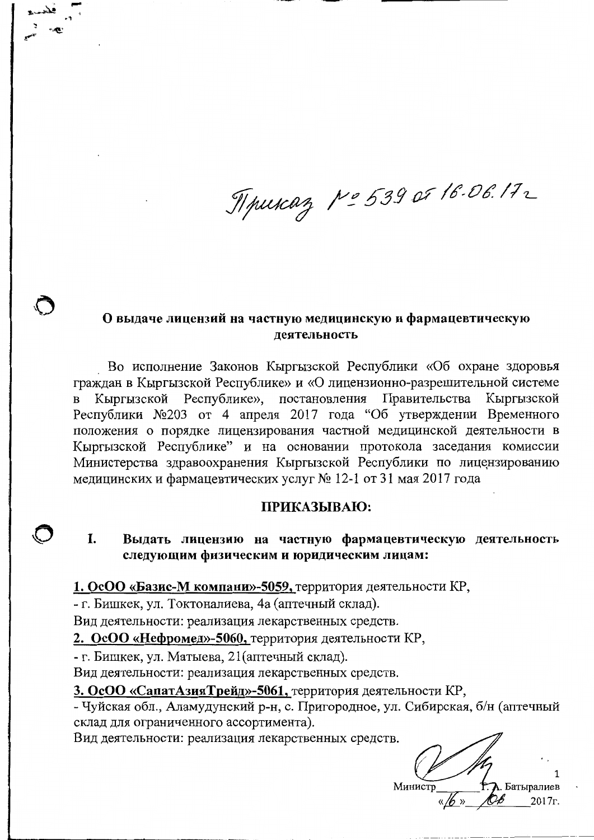Mpukaz Nº 539 or 16.06.172

## О выдаче лицензий на частную медицинскую и фармацевтическую деятельность

Во исполнение Законов Кыргызской Республики «Об охране здоровья граждан в Кыргызской Республике» и «О лицензионно-разрешительной системе Кыргызской Республике», постановления Правительства Кыргызской Республики №203 от 4 апреля 2017 года "Об утверждении Временного положения о порядке лицензирования частной медицинской деятельности в Кыргызской Республике" и на основании протокола заседания комиссии Министерства здравоохранения Кыргызской Республики по лицензированию медицинских и фармацевтических услуг № 12-1 от 31 мая 2017 года

## ПРИКАЗЫВАЮ:

L. Выдать лицензию на частную фармацевтическую деятельность следующим физическим и юридическим лицам:

1. ОсОО «Базис-М компани»-5059, территория деятельности КР,

- г. Бишкек, ул. Токтоналиева, 4а (аптечный склад).

Вид деятельности: реализация лекарственных средств.

2. ОсОО «Нефромед»-5060, территория деятельности КР,

- г. Бишкек, ул. Матыева, 21 (аптечный склад).

Вид деятельности: реализация лекарственных средств.

3. ОсОО «СапатАзияТрейд»-5061, территория деятельности КР,

- Чуйская обл., Аламудунский р-н, с. Пригородное, ул. Сибирская, б/н (аптечный склад для ограниченного ассортимента).

Вид деятельности: реализация лекарственных средств.

Батыралиев Министр 2017<sub>r</sub>.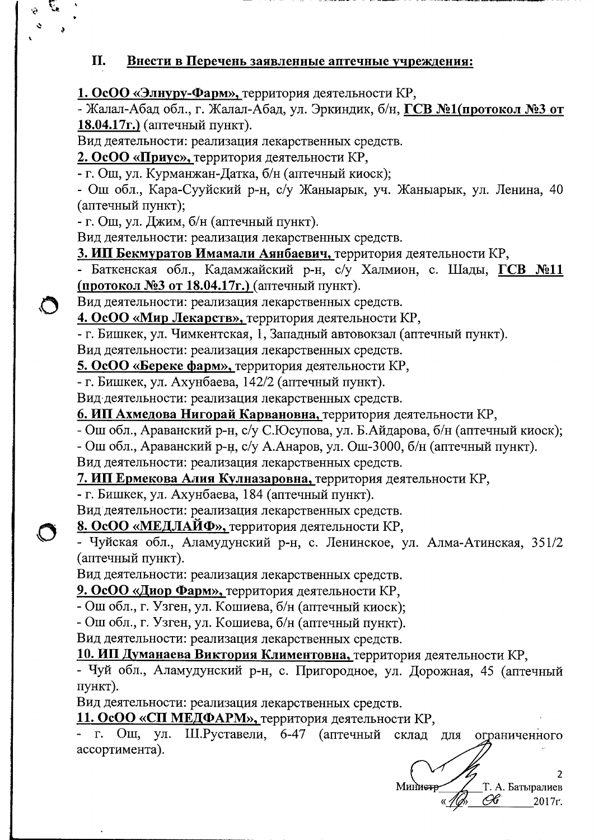## Внести в Перечень заявленные аптечные учреждения: II.

1. ОсОО «Элнуру-Фарм», территория деятельности КР,

- Жалал-Абад обл., г. Жалал-Абад, ул. Эркиндик, б/н, ГСВ №1(протокол №3 от 18.04.17г.) (аптечный пункт).

Вид деятельности: реализация лекарственных средств.

2. ОсОО «Приус», территория деятельности КР,

- г. Ош, ул. Курманжан-Датка, б/н (аптечный киоск);

- Ош обл., Кара-Сууйский р-н, с/у Жаныарык, уч. Жаныарык, ул. Ленина, 40 (аптечный пункт);

- г. Ош, ул. Джим, б/н (аптечный пункт).

 $\ddot{\phantom{0}}$ 

 $\bigcirc$ 

Вид деятельности: реализация лекарственных средств.

3. ИП Бекмуратов Имамали Аянбаевич, территория деятельности КР,

- Баткенская обл., Кадамжайский р-н, с/у Халмион, с. Шады, ГСВ №11 (протокол №3 от 18.04.17г.) (аптечный пункт).

Вид деятельности: реализация лекарственных средств.

4. ОсОО «Мир Лекарств», территория деятельности КР,

- г. Бишкек, ул. Чимкентская, 1, Западный автовокзал (аптечный пункт).

Вид деятельности: реализация лекарственных средств.

5. ОсОО «Береке фарм», территория деятельности КР,

- г. Бишкек, ул. Ахунбаева, 142/2 (аптечный пункт).

Вид деятельности: реализация лекарственных средств.

6. ИП Ахмедова Нигорай Карвановна, территория деятельности КР,

- Ош обл., Араванский р-н, с/у С.Юсупова, ул. Б.Айдарова, б/н (аптечный киоск);

- Ош обл., Араванский р-н, с/у А.Анаров, ул. Ош-3000, б/н (аптечный пункт).

Вид деятельности: реализация лекарственных средств.

7. ИП Ермекова Алия Кулназаровна, территория деятельности КР,

- г. Бишкек, ул. Ахунбаева, 184 (аптечный пункт).

Вид деятельности: реализация лекарственных средств.

8. ОсОО «МЕДЛАЙФ», территория деятельности КР,

- Чуйская обл., Аламудунский р-н, с. Ленинское, ул. Алма-Атинская, 351/2 (аптечный пункт).

Вид деятельности: реализация лекарственных средств.

9. ОсОО «Диор Фарм», территория деятельности КР,

- Ош обл., г. Узген, ул. Кошиева, б/н (аптечный киоск);

- Ош обл., г. Узген, ул. Кошиева, б/н (аптечный пункт).

Вид деятельности: реализация лекарственных средств.

10. ИП Думанаева Виктория Климентовна, территория деятельности КР,

- Чуй обл., Аламудунский р-н, с. Пригородное, ул. Дорожная, 45 (аптечный пункт).

Вид деятельности: реализация лекарственных средств.

11. ОсОО «СП МЕДФАРМ», территория деятельности КР,

Ш.Руставели, 6-47 (аптечный склад для - г. Ош, ул. ограниченного ассортимента).

Миниетр Т. А. Батыралиев Œ 2017r.